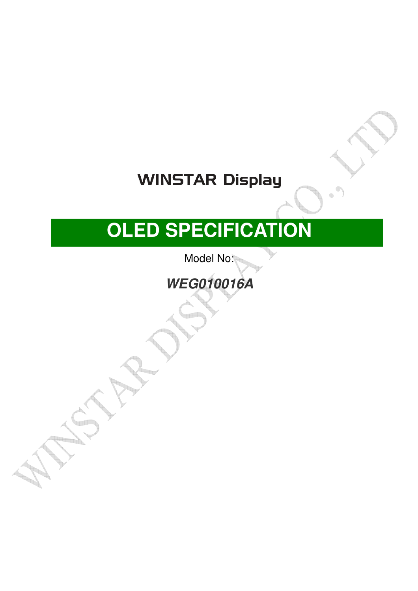## **WINSTAR Display**

# **OLED SPECIFICATION**

Model No:

**WEG010016A** 

AND SAMPLE ( )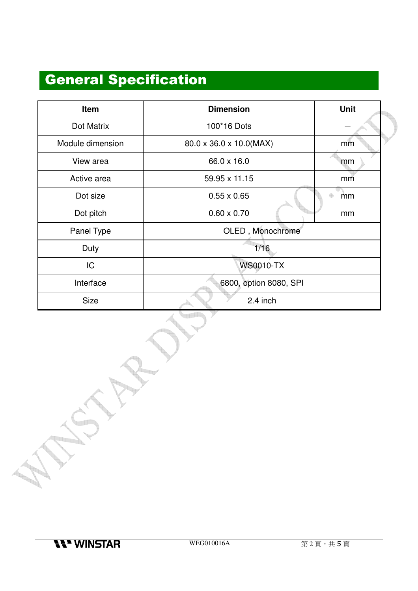### General Specification

| Item             | <b>Dimension</b>        | <b>Unit</b> |  |  |  |
|------------------|-------------------------|-------------|--|--|--|
| Dot Matrix       | 100*16 Dots             |             |  |  |  |
| Module dimension | 80.0 x 36.0 x 10.0(MAX) | mm          |  |  |  |
| View area        | 66.0 x 16.0             | mm          |  |  |  |
| Active area      | 59.95 x 11.15           | mm          |  |  |  |
| Dot size         | $0.55 \times 0.65$      | mm          |  |  |  |
| Dot pitch        | $0.60 \times 0.70$      | mm          |  |  |  |
| Panel Type       | OLED, Monochrome        |             |  |  |  |
| Duty             | 1/16                    |             |  |  |  |
| IC               | <b>WS0010-TX</b>        |             |  |  |  |
| Interface        | 6800, option 8080, SPI  |             |  |  |  |
| <b>Size</b>      | 2.4 inch                |             |  |  |  |

an a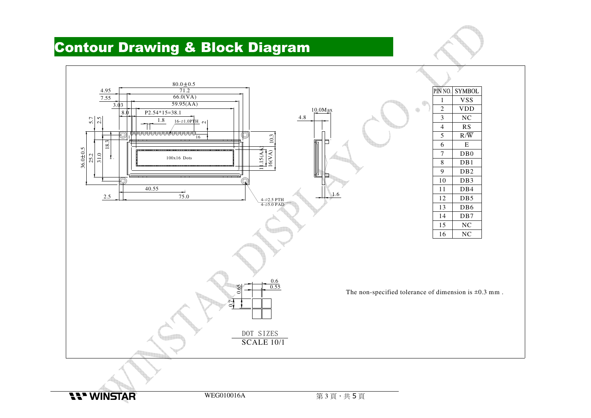#### Contour Drawing & Block Diagram

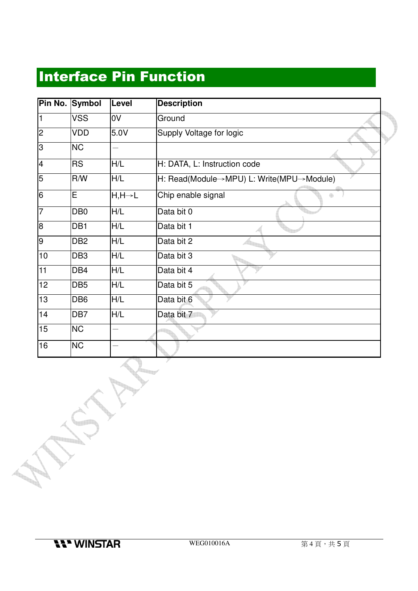#### Interface Pin Function

| Pin No. | <b>Symbol</b>   | Level                | <b>Description</b>                       |
|---------|-----------------|----------------------|------------------------------------------|
| 11      | VSS             | 0V                   | Ground                                   |
| 2       | VDD             | 5.0V                 | Supply Voltage for logic                 |
| Iз      | <b>NC</b>       |                      |                                          |
| 4       | <b>RS</b>       | H/L                  | H: DATA, L: Instruction code             |
| 5       | R/W             | H/L                  | H: Read(Module→MPU) L: Write(MPU→Module) |
| 16      | E               | $H, H \rightarrow L$ | Chip enable signal                       |
| 17      | DB <sub>0</sub> | H/L                  | Data bit 0                               |
| 18      | DB <sub>1</sub> | H/L                  | Data bit 1                               |
| l9      | DB <sub>2</sub> | H/L                  | Data bit 2                               |
| 10      | DB <sub>3</sub> | H/L                  | Data bit 3                               |
| 11      | DB4             | H/L                  | Data bit 4                               |
| 12      | DB <sub>5</sub> | H/L                  | Data bit 5                               |
| 13      | DB <sub>6</sub> | H/L                  | Data bit 6                               |
| 14      | DB7             | H/L                  | Data bit 7                               |
| 15      | <b>NC</b>       |                      |                                          |
| 16      | <b>NC</b>       |                      |                                          |

**Parties**